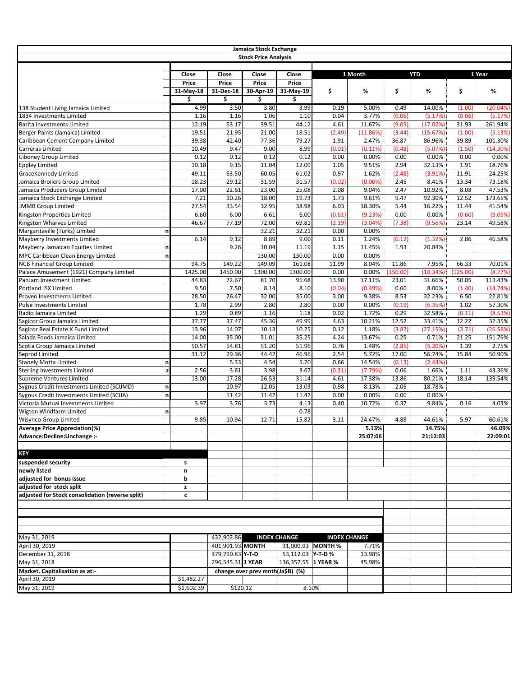|                                                  |              |                |                   | Jamaica Stock Exchange           |                          |                   |                     |                |                  |               |                  |
|--------------------------------------------------|--------------|----------------|-------------------|----------------------------------|--------------------------|-------------------|---------------------|----------------|------------------|---------------|------------------|
|                                                  |              |                |                   | <b>Stock Price Analysis</b>      |                          |                   |                     |                |                  |               |                  |
|                                                  |              |                |                   |                                  |                          |                   |                     |                |                  |               |                  |
|                                                  |              | Close          | Close             | Close                            | Close                    |                   | 1 Month             |                | <b>YTD</b>       |               | 1 Year           |
|                                                  |              | Price          | Price             | Price                            | Price                    |                   |                     |                |                  |               |                  |
|                                                  |              | 31-May-18      | 31-Dec-18         | 30-Apr-19                        | 31-May-19                | \$                | %                   | \$             | %                | \$            | %                |
|                                                  |              | \$             | \$                | \$                               | \$                       |                   |                     |                |                  |               |                  |
| 138 Student Living Jamaica Limited               |              | 4.99           | 3.50              | 3.80                             | 3.99                     | 0.19              | 5.00%               | 0.49           | 14.00%           | (1.00)        | (20.04%)         |
| 1834 Investments Limited                         |              | 1.16           | 1.16              | 1.06                             | 1.10                     | 0.04              | 3.77%               | (0.06)         | (5.17%)          | (0.06)        | (5.17%)          |
| <b>Barita Investments Limited</b>                |              | 12.19          | 53.17             | 39.51                            | 44.12                    | 4.61              | 11.67%              | (9.05)         | (17.02%)         | 31.93         | 261.94%          |
| Berger Paints (Jamaica) Limited                  |              | 19.51          | 21.95             | 21.00                            | 18.51                    | (2.49)            | (11.86%)            | (3.44)         | (15.67%)         | (1.00)        | (5.13%)          |
| Caribbean Cement Company Limited                 |              | 39.38          | 42.40             | 77.36                            | 79.27                    | 1.91              | 2.47%               | 36.87          | 86.96%           | 39.89         | 101.30%          |
| Carreras Limited                                 |              | 10.49<br>0.12  | 9.47<br>0.12      | 9.00<br>0.12                     | 8.99                     | (0.01)            | $(0.11\%)$          | (0.48)         | (5.07%)          | (1.50)        | (14.30%)         |
| Ciboney Group Limited<br><b>Eppley Limited</b>   |              | 10.18          | 9.15              | 11.04                            | 0.12<br>12.09            | 0.00<br>1.05      | 0.00%<br>9.51%      | 0.00<br>2.94   | 0.00%<br>32.13%  | 0.00<br>1.91  | 0.00%<br>18.76%  |
| GraceKennedy Limited                             |              | 49.11          | 63.50             | 60.05                            | 61.02                    | 0.97              | 1.62%               | (2.48)         | (3.91%)          | 11.91         | 24.25%           |
| Jamaica Broilers Group Limited                   |              | 18.23          | 29.12             | 31.59                            | 31.57                    | (0.02)            | (0.06%)             | 2.45           | 8.41%            | 13.34         | 73.18%           |
| Jamaica Producers Group Limited                  |              | 17.00          | 22.61             | 23.00                            | 25.08                    | 2.08              | 9.04%               | 2.47           | 10.92%           | 8.08          | 47.53%           |
| Jamaica Stock Exchange Limited                   |              | 7.21           | 10.26             | 18.00                            | 19.73                    | 1.73              | 9.61%               | 9.47           | 92.30%           | 12.52         | 173.65%          |
| <b>JMMB Group Limited</b>                        |              | 27.54          | 33.54             | 32.95                            | 38.98                    | 6.03              | 18.30%              | 5.44           | 16.22%           | 11.44         | 41.54%           |
| Kingston Properties Limited                      |              | 6.60           | 6.00              | 6.61                             | 6.00                     | (0.61)            | (9.23%)             | 0.00           | 0.00%            | (0.60)        | (9.09%)          |
| Kingston Wharves Limited                         |              | 46.67          | 77.19             | 72.00                            | 69.81                    | (2.19)            | (3.04%              | (7.38)         | (9.56%)          | 23.14         | 49.58%           |
| Margaritaville (Turks) Limited                   | n            |                |                   | 32.21                            | 32.21                    | 0.00              | 0.00%               |                |                  |               |                  |
| Mayberry Investments Limited                     |              | 6.14           | 9.12              | 8.89                             | 9.00                     | 0.11              | 1.24%               | (0.12)         | (1.32%)          | 2.86          | 46.58%           |
| Mayberry Jamaican Equities Limited               | n            |                | 9.26              | 10.04                            | 11.19                    | 1.15              | 11.45%              | 1.93           | 20.84%           |               |                  |
| MPC Caribbean Clean Energy Limited               | n            |                |                   | 130.00                           | 130.00                   | 0.00              | 0.00%               |                |                  |               |                  |
| <b>NCB Financial Group Limited</b>               |              | 94.75          | 149.22            | 149.09                           | 161.08                   | 11.99             | 8.04%               | 11.86          | 7.95%            | 66.33         | 70.01%           |
| Palace Amusement (1921) Company Limited          |              | 1425.00        | 1450.00           | 1300.00                          | 1300.00                  | 0.00              | 0.00%               | (150.00)       | (10.34%)         | (125.00)      | (8.77%)          |
| PanJam Investment Limited                        |              | 44.83          | 72.67             | 81.70                            | 95.68                    | 13.98             | 17.11%              | 23.01          | 31.66%           | 50.85         | 113.43%          |
| Portland JSX Limited                             |              | 9.50           | 7.50              | 8.14                             | 8.10                     | (0.04)            | (0.49%)             | 0.60           | 8.00%            | (1.40)        | (14.74%)         |
| Proven Investments Limited                       |              | 28.50          | 26.47             | 32.00                            | 35.00                    | 3.00              | 9.38%               | 8.53           | 32.23%           | 6.50          | 22.81%           |
| <b>Pulse Investments Limited</b>                 |              | 1.78           | 2.99              | 2.80                             | 2.80                     | 0.00              | 0.00%               | (0.19)         | (6.35%)          | 1.02          | 57.30%           |
| Radio Jamaica Limited                            |              | 1.29           | 0.89              | 1.16                             | 1.18                     | 0.02              | 1.72%               | 0.29           | 32.58%           | (0.11)        | (8.53%)          |
| Sagicor Group Jamaica Limited                    |              | 37.77          | 37.47             | 45.36                            | 49.99                    | 4.63              | 10.21%              | 12.52          | 33.41%           | 12.22         | 32.35%           |
| Sagicor Real Estate X Fund Limited               |              | 13.96          | 14.07             | 10.13                            | 10.25<br>35.25           | 0.12              | 1.18%               | (3.82)         | (27.15%)         | (3.71)        | (26.58%)         |
| Salada Foods Jamaica Limited                     |              | 14.00<br>50.57 | 35.00<br>54.81    | 31.01<br>51.20                   | 51.96                    | 4.24<br>0.76      | 13.67%<br>1.48%     | 0.25<br>(2.85) | 0.71%<br>(5.20%) | 21.25<br>1.39 | 151.79%<br>2.75% |
| Scotia Group Jamaica Limited<br>Seprod Limited   |              | 31.12          | 29.96             | 44.42                            | 46.96                    | 2.54              | 5.72%               | 17.00          | 56.74%           | 15.84         | 50.90%           |
| <b>Stanely Motta Limited</b>                     | n            |                | 5.33              | 4.54                             | 5.20                     | 0.66              | 14.54%              | (0.13)         | (2.44%)          |               |                  |
| <b>Sterling Investments Limited</b>              | z            | 2.56           | 3.61              | 3.98                             | 3.67                     | (0.31)            | (7.79%)             | 0.06           | 1.66%            | 1.11          | 43.36%           |
| <b>Supreme Ventures Limited</b>                  |              | 13.00          | 17.28             | 26.53                            | 31.14                    | 4.61              | 17.38%              | 13.86          | 80.21%           | 18.14         | 139.54%          |
| Sygnus Credit Investments Limited (SCIJMD)       | n            |                | 10.97             | 12.05                            | 13.03                    | 0.98              | 8.13%               | 2.06           | 18.78%           |               |                  |
| Sygnus Credit Investments Limited (SCIJA)        | $\mathsf{n}$ |                | 11.42             | 11.42                            | 11.42                    | 0.00              | 0.00%               | 0.00           | 0.00%            |               |                  |
| Victoria Mutual Investments Limited              |              | 3.97           | 3.76              | 3.73                             | 4.13                     | 0.40              | 10.72%              | 0.37           | 9.84%            | 0.16          | 4.03%            |
| Wigton Windfarm Limited                          | n            |                |                   |                                  | 0.78                     |                   |                     |                |                  |               |                  |
| Wisynco Group Limited                            |              | 9.85           | 10.94             | 12.71                            | 15.82                    | 3.11              | 24.47%              | 4.88           | 44.61%           | 5.97          | 60.61%           |
| <b>Average Price Appreciation(%)</b>             |              |                |                   |                                  |                          |                   | 5.13%               |                | 14.75%           |               | 46.09%           |
| Advance:Decline:Unchange :-                      |              |                |                   |                                  |                          |                   | 25:07:06            |                | 21:12:03         |               | 22:09:01         |
|                                                  |              |                |                   |                                  |                          |                   |                     |                |                  |               |                  |
| KEY                                              |              |                |                   |                                  |                          |                   |                     |                |                  |               |                  |
| suspended security                               |              | s              |                   |                                  |                          |                   |                     |                |                  |               |                  |
| newly listed                                     |              | n              |                   |                                  |                          |                   |                     |                |                  |               |                  |
| adjusted for bonus issue                         |              | b              |                   |                                  |                          |                   |                     |                |                  |               |                  |
| adjusted for stock split                         |              | z              |                   |                                  |                          |                   |                     |                |                  |               |                  |
| adjusted for Stock consolidation (reverse split) |              | c              |                   |                                  |                          |                   |                     |                |                  |               |                  |
|                                                  |              |                |                   |                                  |                          |                   |                     |                |                  |               |                  |
|                                                  |              |                |                   |                                  |                          |                   |                     |                |                  |               |                  |
|                                                  |              |                |                   |                                  |                          |                   |                     |                |                  |               |                  |
|                                                  |              |                |                   |                                  |                          |                   |                     |                |                  |               |                  |
| May 31, 2019                                     |              |                | 432,902.86        |                                  | <b>INDEX CHANGE</b>      |                   | <b>INDEX CHANGE</b> |                |                  |               |                  |
| April 30, 2019                                   |              |                | 401,901.93 MONTH  |                                  |                          | 31,000.93 MONTH % | 7.71%               |                |                  |               |                  |
| December 31, 2018                                |              |                | 379,790.83 Y-T-D  |                                  | 53,112.03 <b>Y-T-D %</b> |                   | 13.98%              |                |                  |               |                  |
| May 31, 2018                                     |              |                | 296,545.31 1 YEAR |                                  | 136,357.55 1 YEAR %      |                   | 45.98%              |                |                  |               |                  |
| Market. Capitalisation as at:-<br>April 30, 2019 |              | \$1,482.27     |                   | change over prev mnth(Ja\$B) (%) |                          |                   |                     |                |                  |               |                  |
|                                                  |              |                |                   |                                  |                          |                   |                     |                |                  |               |                  |
| May 31, 2019                                     |              | \$1,602.39     |                   | \$120.12                         |                          | 8.10%             |                     |                |                  |               |                  |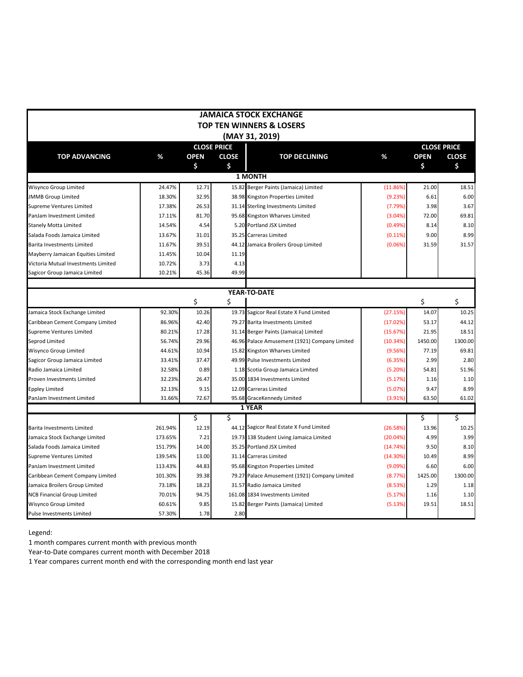|                                     |         |             |                    | <b>JAMAICA STOCK EXCHANGE</b>                 |          |             |                    |
|-------------------------------------|---------|-------------|--------------------|-----------------------------------------------|----------|-------------|--------------------|
|                                     |         |             |                    | <b>TOP TEN WINNERS &amp; LOSERS</b>           |          |             |                    |
|                                     |         |             |                    | (MAY 31, 2019)                                |          |             |                    |
|                                     |         |             | <b>CLOSE PRICE</b> |                                               |          |             | <b>CLOSE PRICE</b> |
| <b>TOP ADVANCING</b>                | %       | <b>OPEN</b> | <b>CLOSE</b>       | <b>TOP DECLINING</b>                          | %        | <b>OPEN</b> | <b>CLOSE</b>       |
|                                     |         | \$          | \$                 |                                               |          | \$          | \$                 |
|                                     |         |             |                    | <b>1 MONTH</b>                                |          |             |                    |
| Wisynco Group Limited               | 24.47%  | 12.71       |                    | 15.82 Berger Paints (Jamaica) Limited         | (11.86%  | 21.00       | 18.51              |
| <b>JMMB Group Limited</b>           | 18.30%  | 32.95       |                    | 38.98 Kingston Properties Limited             | (9.23%)  | 6.61        | 6.00               |
| Supreme Ventures Limited            | 17.38%  | 26.53       |                    | 31.14 Sterling Investments Limited            | (7.79%   | 3.98        | 3.67               |
| PanJam Investment Limited           | 17.11%  | 81.70       |                    | 95.68 Kingston Wharves Limited                | (3.04%   | 72.00       | 69.81              |
| <b>Stanely Motta Limited</b>        | 14.54%  | 4.54        |                    | 5.20 Portland JSX Limited                     | (0.49%)  | 8.14        | 8.10               |
| Salada Foods Jamaica Limited        | 13.67%  | 31.01       |                    | 35.25 Carreras Limited                        | (0.11%)  | 9.00        | 8.99               |
| Barita Investments Limited          | 11.67%  | 39.51       |                    | 44.12 Jamaica Broilers Group Limited          | (0.06%   | 31.59       | 31.57              |
| Mayberry Jamaican Equities Limited  | 11.45%  | 10.04       | 11.19              |                                               |          |             |                    |
| Victoria Mutual Investments Limited | 10.72%  | 3.73        | 4.13               |                                               |          |             |                    |
| Sagicor Group Jamaica Limited       | 10.21%  | 45.36       | 49.99              |                                               |          |             |                    |
|                                     |         |             |                    |                                               |          |             |                    |
|                                     |         |             |                    | YEAR-TO-DATE                                  |          |             |                    |
|                                     |         | \$          | \$                 |                                               |          | \$          | \$                 |
| Jamaica Stock Exchange Limited      | 92.30%  | 10.26       |                    | 19.73 Sagicor Real Estate X Fund Limited      | (27.15%) | 14.07       | 10.25              |
| Caribbean Cement Company Limited    | 86.96%  | 42.40       |                    | 79.27 Barita Investments Limited              | (17.02%) | 53.17       | 44.12              |
| Supreme Ventures Limited            | 80.21%  | 17.28       |                    | 31.14 Berger Paints (Jamaica) Limited         | (15.67%) | 21.95       | 18.51              |
| Seprod Limited                      | 56.74%  | 29.96       |                    | 46.96 Palace Amusement (1921) Company Limited | (10.34%) | 1450.00     | 1300.00            |
| Wisynco Group Limited               | 44.61%  | 10.94       |                    | 15.82 Kingston Wharves Limited                | (9.56%)  | 77.19       | 69.81              |
| Sagicor Group Jamaica Limited       | 33.41%  | 37.47       |                    | 49.99 Pulse Investments Limited               | (6.35%)  | 2.99        | 2.80               |
| Radio Jamaica Limited               | 32.58%  | 0.89        |                    | 1.18 Scotia Group Jamaica Limited             | (5.20%)  | 54.81       | 51.96              |
| Proven Investments Limited          | 32.23%  | 26.47       |                    | 35.00 1834 Investments Limited                | (5.17%)  | 1.16        | 1.10               |
| <b>Eppley Limited</b>               | 32.13%  | 9.15        |                    | 12.09 Carreras Limited                        | (5.07%   | 9.47        | 8.99               |
| PanJam Investment Limited           | 31.66%  | 72.67       |                    | 95.68 GraceKennedy Limited                    | (3.91%   | 63.50       | 61.02              |
|                                     |         |             |                    | 1 YEAR                                        |          |             |                    |
|                                     |         | \$          | \$                 |                                               |          | \$          | \$                 |
| Barita Investments Limited          | 261.94% | 12.19       |                    | 44.12 Sagicor Real Estate X Fund Limited      | (26.58%) | 13.96       | 10.25              |
| Jamaica Stock Exchange Limited      | 173.65% | 7.21        |                    | 19.73 138 Student Living Jamaica Limited      | (20.04%) | 4.99        | 3.99               |
| Salada Foods Jamaica Limited        | 151.79% | 14.00       |                    | 35.25 Portland JSX Limited                    | (14.74%) | 9.50        | 8.10               |
| Supreme Ventures Limited            | 139.54% | 13.00       |                    | 31.14 Carreras Limited                        | (14.30%) | 10.49       | 8.99               |
| PanJam Investment Limited           | 113.43% | 44.83       |                    | 95.68 Kingston Properties Limited             | (9.09%   | 6.60        | 6.00               |
| Caribbean Cement Company Limited    | 101.30% | 39.38       |                    | 79.27 Palace Amusement (1921) Company Limited | (8.77%)  | 1425.00     | 1300.00            |
| Jamaica Broilers Group Limited      | 73.18%  | 18.23       |                    | 31.57 Radio Jamaica Limited                   | (8.53%)  | 1.29        | 1.18               |
| <b>NCB Financial Group Limited</b>  | 70.01%  | 94.75       |                    | 161.08 1834 Investments Limited               | (5.17%)  | 1.16        | 1.10               |
| <b>Wisynco Group Limited</b>        | 60.61%  | 9.85        | 15.82              | Berger Paints (Jamaica) Limited               | (5.13%)  | 19.51       | 18.51              |
| <b>Pulse Investments Limited</b>    | 57.30%  | 1.78        | 2.80               |                                               |          |             |                    |

Legend:

1 month compares current month with previous month

Year-to-Date compares current month with December 2018

1 Year compares current month end with the corresponding month end last year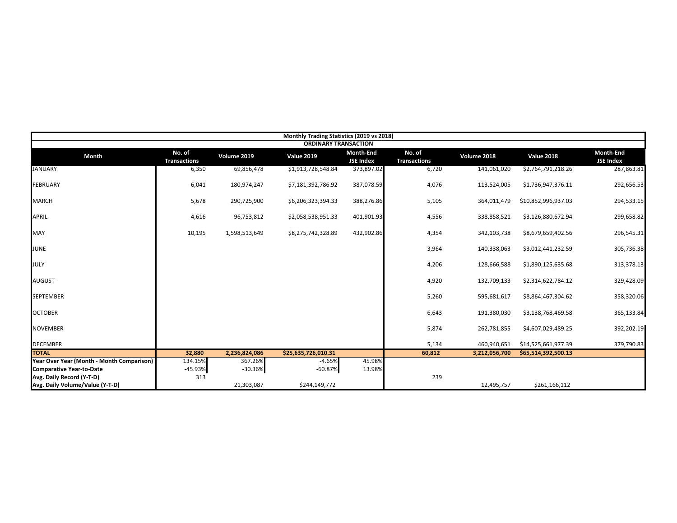|                                           |                               |               | Monthly Trading Statistics (2019 vs 2018) |                               |                               |               |                     |                               |
|-------------------------------------------|-------------------------------|---------------|-------------------------------------------|-------------------------------|-------------------------------|---------------|---------------------|-------------------------------|
|                                           |                               |               | <b>ORDINARY TRANSACTION</b>               |                               |                               |               |                     |                               |
| <b>Month</b>                              | No. of<br><b>Transactions</b> | Volume 2019   | <b>Value 2019</b>                         | Month-End<br><b>JSE Index</b> | No. of<br><b>Transactions</b> | Volume 2018   | <b>Value 2018</b>   | Month-End<br><b>JSE Index</b> |
| <b>JANUARY</b>                            | 6,350                         | 69,856,478    | \$1,913,728,548.84                        | 373,897.02                    | 6,720                         | 141,061,020   | \$2,764,791,218.26  | 287,863.81                    |
| <b>FEBRUARY</b>                           | 6,041                         | 180,974,247   | \$7,181,392,786.92                        | 387,078.59                    | 4,076                         | 113,524,005   | \$1,736,947,376.11  | 292,656.53                    |
| <b>MARCH</b>                              | 5,678                         | 290,725,900   | \$6,206,323,394.33                        | 388,276.86                    | 5,105                         | 364,011,479   | \$10,852,996,937.03 | 294,533.15                    |
| <b>APRIL</b>                              | 4,616                         | 96,753,812    | \$2,058,538,951.33                        | 401,901.93                    | 4,556                         | 338,858,521   | \$3,126,880,672.94  | 299,658.82                    |
| <b>MAY</b>                                | 10,195                        | 1,598,513,649 | \$8,275,742,328.89                        | 432,902.86                    | 4,354                         | 342,103,738   | \$8,679,659,402.56  | 296,545.31                    |
| <b>JUNE</b>                               |                               |               |                                           |                               | 3,964                         | 140,338,063   | \$3,012,441,232.59  | 305,736.38                    |
| <b>JULY</b>                               |                               |               |                                           |                               | 4,206                         | 128,666,588   | \$1,890,125,635.68  | 313,378.13                    |
| <b>AUGUST</b>                             |                               |               |                                           |                               | 4,920                         | 132,709,133   | \$2,314,622,784.12  | 329,428.09                    |
| <b>SEPTEMBER</b>                          |                               |               |                                           |                               | 5,260                         | 595,681,617   | \$8,864,467,304.62  | 358,320.06                    |
| <b>OCTOBER</b>                            |                               |               |                                           |                               | 6,643                         | 191,380,030   | \$3,138,768,469.58  | 365,133.84                    |
| <b>NOVEMBER</b>                           |                               |               |                                           |                               | 5,874                         | 262,781,855   | \$4,607,029,489.25  | 392,202.19                    |
| <b>DECEMBER</b>                           |                               |               |                                           |                               | 5,134                         | 460,940,651   | \$14,525,661,977.39 | 379,790.83                    |
| <b>TOTAL</b>                              | 32,880                        | 2,236,824,086 | \$25,635,726,010.31                       |                               | 60,812                        | 3,212,056,700 | \$65,514,392,500.13 |                               |
| Year Over Year (Month - Month Comparison) | 134.15%                       | 367.26%       | $-4.65%$                                  | 45.98%                        |                               |               |                     |                               |
| <b>Comparative Year-to-Date</b>           | -45.93%                       | $-30.36%$     | $-60.87%$                                 | 13.98%                        |                               |               |                     |                               |
| Avg. Daily Record (Y-T-D)                 | 313                           |               |                                           |                               | 239                           |               |                     |                               |
| Avg. Daily Volume/Value (Y-T-D)           |                               | 21,303,087    | \$244,149,772                             |                               |                               | 12,495,757    | \$261,166,112       |                               |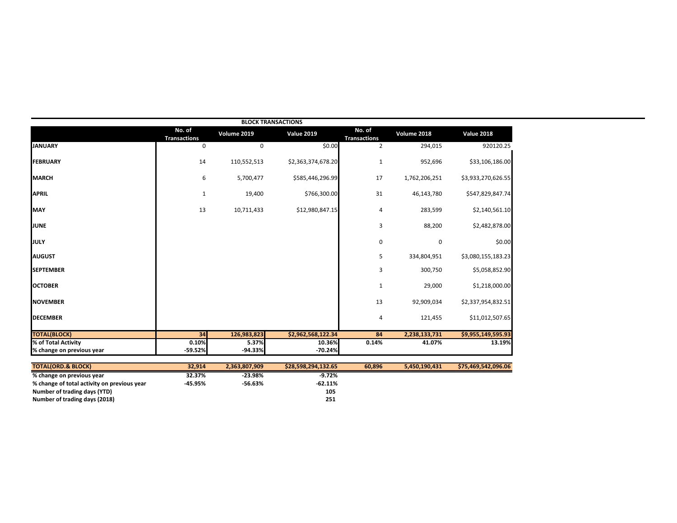|                                             |                               |               | <b>BLOCK TRANSACTIONS</b> |                               |               |                     |
|---------------------------------------------|-------------------------------|---------------|---------------------------|-------------------------------|---------------|---------------------|
|                                             | No. of<br><b>Transactions</b> | Volume 2019   | <b>Value 2019</b>         | No. of<br><b>Transactions</b> | Volume 2018   | <b>Value 2018</b>   |
| <b>JANUARY</b>                              | 0                             | 0             | \$0.00                    | $\overline{2}$                | 294,015       | 920120.25           |
| <b>FEBRUARY</b>                             | 14                            | 110,552,513   | \$2,363,374,678.20        | $\mathbf{1}$                  | 952,696       | \$33,106,186.00     |
| <b>MARCH</b>                                | 6                             | 5,700,477     | \$585,446,296.99          | 17                            | 1,762,206,251 | \$3,933,270,626.55  |
| <b>APRIL</b>                                | $\mathbf{1}$                  | 19,400        | \$766,300.00              | 31                            | 46,143,780    | \$547,829,847.74    |
| <b>MAY</b>                                  | 13                            | 10,711,433    | \$12,980,847.15           | $\overline{4}$                | 283,599       | \$2,140,561.10      |
| <b>JUNE</b>                                 |                               |               |                           | 3                             | 88,200        | \$2,482,878.00      |
| JULY                                        |                               |               |                           | $\mathbf 0$                   | 0             | \$0.00              |
| <b>AUGUST</b>                               |                               |               |                           | 5                             | 334,804,951   | \$3,080,155,183.23  |
| <b>SEPTEMBER</b>                            |                               |               |                           | 3                             | 300,750       | \$5,058,852.90      |
| <b>OCTOBER</b>                              |                               |               |                           | $\mathbf{1}$                  | 29,000        | \$1,218,000.00      |
| <b>NOVEMBER</b>                             |                               |               |                           | 13                            | 92,909,034    | \$2,337,954,832.51  |
| <b>DECEMBER</b>                             |                               |               |                           | $\overline{4}$                | 121,455       | \$11,012,507.65     |
| <b>TOTAL(BLOCK)</b>                         | 34                            | 126,983,823   | \$2,962,568,122.34        | 84                            | 2,238,133,731 | \$9,955,149,595.93  |
| % of Total Activity                         | 0.10%                         | 5.37%         | 10.36%                    | 0.14%                         | 41.07%        | 13.19%              |
| % change on previous year                   | $-59.52%$                     | $-94.33%$     | $-70.24%$                 |                               |               |                     |
| <b>TOTAL(ORD.&amp; BLOCK)</b>               | 32,914                        | 2,363,807,909 | \$28,598,294,132.65       | 60,896                        | 5,450,190,431 | \$75,469,542,096.06 |
| % change on previous year                   | 32.37%                        | $-23.98%$     | $-9.72%$                  |                               |               |                     |
| % change of total activity on previous year | $-45.95%$                     | $-56.63%$     | $-62.11%$                 |                               |               |                     |

**Number of trading days (YTD) 105 Number of trading days (2018) 251**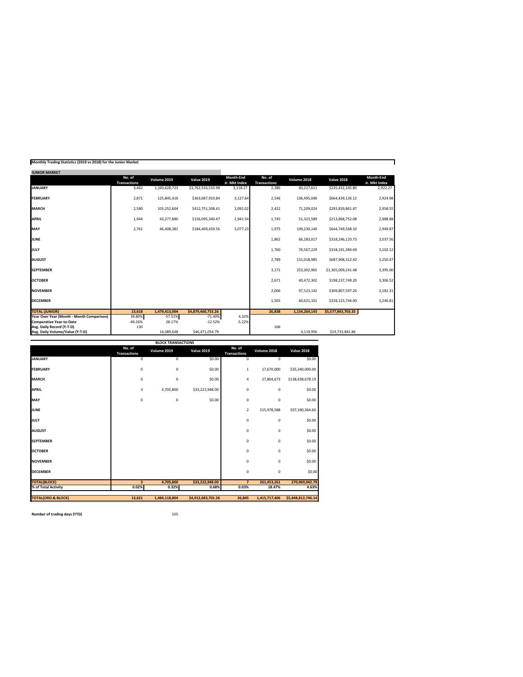| <b>JUNIOR MARKET</b>                      |                               |               |                    |                                   |                               |               |                    |                            |
|-------------------------------------------|-------------------------------|---------------|--------------------|-----------------------------------|-------------------------------|---------------|--------------------|----------------------------|
|                                           | No. of<br><b>Transactions</b> | Volume 2019   | <b>Value 2019</b>  | <b>Month-End</b><br>Jr. Mkt Index | No. of<br><b>Transactions</b> | Volume 2018   | <b>Value 2018</b>  | Month-End<br>Jr. Mkt Index |
| <b>JANUARY</b>                            | 3,462                         | 1,160,628,723 | \$3,762,516,533.98 | 3,118.27                          | 2,386                         | 60,217,611    | \$235,432,245.80   | 2,922.27                   |
| <b>FEBRUARY</b>                           | 2,871                         | 125,845,416   | \$363,687,910.84   | 3,127.64                          | 2,546                         | 136,495,040   | \$664,439,126.12   | 2,924.98                   |
| <b>MARCH</b>                              | 2,580                         | 103,252,604   | \$412,751,508.41   | 3,092.02                          | 2,422                         | 71,209,024    | \$293,829,861.47   | 2,958.55                   |
| <b>APRIL</b>                              | 1,944                         | 43,277,880    | \$156,095,340.47   | 2,941.54                          | 1,745                         | 51,323,589    | \$213,868,752.08   | 2,988.88                   |
| <b>MAY</b>                                | 2,761                         | 46,408,381    | \$184,409,459.56   | 3,077.23                          | 1,975                         | 109,230,140   | \$644,749,568.10   | 2,949.87                   |
| <b>JUNE</b>                               |                               |               |                    |                                   | 1,862                         | 66,283,017    | \$318,246,120.73   | 3,037.56                   |
| JULY                                      |                               |               |                    |                                   | 1,760                         | 76,567,229    | \$318,191,384.69   | 3,102.12                   |
| <b>AUGUST</b>                             |                               |               |                    |                                   | 2,789                         | 131,018,985   | \$687,908,312.42   | 3,250.47                   |
| <b>SEPTEMBER</b>                          |                               |               |                    |                                   | 3.171                         | 253.302.965   | \$1.365.009.241.48 | 3,395.00                   |
| <b>OCTOBER</b>                            |                               |               |                    |                                   | 2,671                         | 40,472,302    | \$198,237,749.20   | 3,306.52                   |
| <b>NOVEMBER</b>                           |                               |               |                    |                                   | 2,006                         | 97,523,142    | \$309,807,597.26   | 3,182.31                   |
| <b>DECEMBER</b>                           |                               |               |                    |                                   | 1,505                         | 60,621,101    | \$328,123,744.00   | 3,246.81                   |
| <b>TOTAL (JUNIOR)</b>                     | 13.618                        | 1.479.413.004 | \$4,879,460,753,26 |                                   | 26.838                        | 1.154.264.145 | \$5,577,843,703.35 |                            |
| Year Over Year (Month - Month Comparison) | 39.80%                        | $-57.51%$     | $-71.40%$          | 4.32%                             |                               |               |                    |                            |
| <b>Comparative Year-to-Date</b>           | $-49.26%$                     | 28.17%        | $-12.52%$          | $-5.22%$                          |                               |               |                    |                            |
| Avg. Daily Record (Y-T-D)                 | 130                           |               |                    |                                   | 106                           |               |                    |                            |
| Avg. Daily Volume/Value (Y-T-D)           |                               | 14.089.648    | \$46.471.054.79    |                                   |                               | 4.119.956     | \$19.733.841.86    |                            |

|                               |                               | <b>BLOCK TRANSACTIONS</b> |                    |                               |                |                    |
|-------------------------------|-------------------------------|---------------------------|--------------------|-------------------------------|----------------|--------------------|
|                               | No. of<br><b>Transactions</b> | Volume 2019               | <b>Value 2019</b>  | No. of<br><b>Transactions</b> | Volume 2018    | <b>Value 2018</b>  |
| <b>JANUARY</b>                | $\overline{0}$                | $\overline{0}$            | \$0.00             | $\overline{0}$                | $\overline{0}$ | \$0.00             |
| <b>FEBRUARY</b>               | $\mathbf 0$                   | $\mathbf 0$               | \$0.00             | $\mathbf{1}$                  | 17,670,000     | \$35,340,000.00    |
| <b>MARCH</b>                  | 0                             | 0                         | \$0.00             | 4                             | 27,804,673     | \$138,438,678.19   |
| <b>APRIL</b>                  | з                             | 4,705,800                 | \$33,222,948.00    | $\mathbf 0$                   | $\mathbf 0$    | \$0.00             |
| MAY                           | $\mathbf 0$                   | 0                         | \$0.00             | $\mathbf 0$                   | $\mathbf 0$    | \$0.00             |
| <b>JUNE</b>                   |                               |                           |                    | $\overline{\mathbf{2}}$       | 215,978,588    | \$97,190,364.60    |
| JULY                          |                               |                           |                    | $\mathbf 0$                   | $\mathbf 0$    | \$0.00             |
| <b>AUGUST</b>                 |                               |                           |                    | $\mathbf 0$                   | $\mathbf 0$    | \$0.00             |
| <b>SEPTEMBER</b>              |                               |                           |                    | $\mathbf 0$                   | $\mathbf 0$    | \$0.00             |
| <b>OCTOBER</b>                |                               |                           |                    | $\mathbf 0$                   | $\mathbf 0$    | \$0.00             |
| <b>NOVEMBER</b>               |                               |                           |                    | $\mathbf 0$                   | $\mathbf 0$    | \$0.00             |
| <b>DECEMBER</b>               |                               |                           |                    | $\mathbf 0$                   | $\mathbf 0$    | \$0.00             |
| <b>TOTAL(BLOCK)</b>           | $\overline{\mathbf{3}}$       | 4,705,800                 | \$33,222,948.00    | $\overline{7}$                | 261,453,261    | 270,969,042.79     |
| % of Total Activity           | 0.02%                         | 0.32%                     | 0.68%              | 0.03%                         | 18.47%         | 4.63%              |
| <b>TOTAL(ORD.&amp; BLOCK)</b> | 13,621                        | 1,484,118,804             | \$4,912,683,701.26 | 26.845                        | 1,415,717,406  | \$5,848,812,746.14 |
|                               |                               |                           |                    |                               |                |                    |

**Monthly Trading Statistics (2019 vs 2018) for the Junior Market**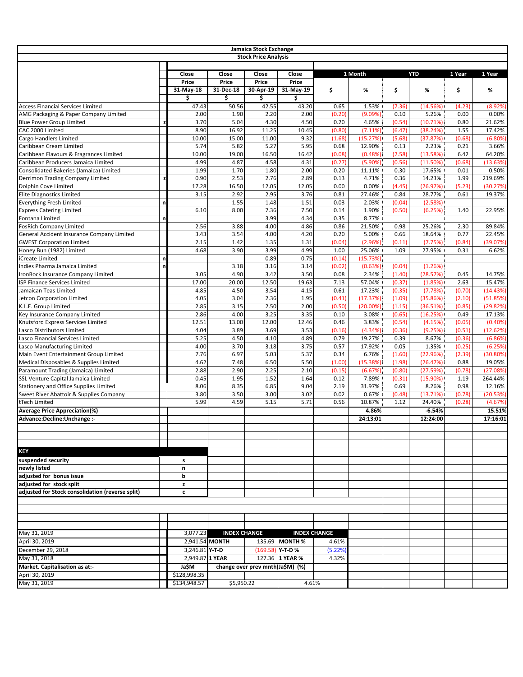|                                                                           |   |                 |                     | Jamaica Stock Exchange           |                  |                     |                  |                  |                      |              |                    |
|---------------------------------------------------------------------------|---|-----------------|---------------------|----------------------------------|------------------|---------------------|------------------|------------------|----------------------|--------------|--------------------|
|                                                                           |   |                 |                     | <b>Stock Price Analysis</b>      |                  |                     |                  |                  |                      |              |                    |
|                                                                           |   |                 |                     |                                  |                  |                     |                  |                  |                      |              |                    |
|                                                                           |   | Close           | Close               | Close                            | Close            |                     | 1 Month          |                  | <b>YTD</b>           | 1 Year       | 1 Year             |
|                                                                           |   | Price           | Price               | Price                            | Price            |                     |                  |                  |                      |              |                    |
|                                                                           |   | 31-May-18       | 31-Dec-18           | 30-Apr-19                        | 31-May-19        | \$                  | %                | \$               | %                    | \$           | %                  |
|                                                                           |   | \$              | \$                  | \$                               | \$               |                     |                  |                  |                      |              |                    |
| <b>Access Financial Services Limited</b>                                  |   | 47.43           | 50.56               | 42.55                            | 43.20            | 0.65                | 1.53%            | (7.36)           | (14.56%)             | (4.23)       | (8.92%)            |
| AMG Packaging & Paper Company Limited                                     |   | 2.00            | 1.90<br>5.04        | 2.20                             | 2.00<br>4.50     | (0.20)              | (9.09%)          | 0.10             | 5.26%                | 0.00         | 0.00%              |
| <b>Blue Power Group Limited</b><br>CAC 2000 Limited                       |   | 3.70<br>8.90    | 16.92               | 4.30<br>11.25                    | 10.45            | 0.20<br>(0.80)      | 4.65%<br>(7.11%) | (0.54)<br>(6.47) | (10.71%)<br>(38.24%) | 0.80<br>1.55 | 21.62%<br>17.42%   |
| Cargo Handlers Limited                                                    |   | 10.00           | 15.00               | 11.00                            | 9.32             | (1.68)              | (15.27%)         | (5.68)           | (37.87%)             | (0.68)       | (6.80%             |
| Caribbean Cream Limited                                                   |   | 5.74            | 5.82                | 5.27                             | 5.95             | 0.68                | 12.90%           | 0.13             | 2.23%                | 0.21         | 3.66%              |
| Caribbean Flavours & Fragrances Limited                                   |   | 10.00           | 19.00               | 16.50                            | 16.42            | (0.08)              | (0.48%)          | (2.58)           | (13.58%)             | 6.42         | 64.20%             |
| Caribbean Producers Jamaica Limited                                       |   | 4.99            | 4.87                | 4.58                             | 4.31             | (0.27)              | (5.90%)          | (0.56)           | (11.50%)             | (0.68)       | (13.63%)           |
| Consolidated Bakeries (Jamaica) Limited                                   |   | 1.99            | 1.70                | 1.80                             | 2.00             | 0.20                | 11.11%           | 0.30             | 17.65%               | 0.01         | 0.50%              |
| Derrimon Trading Company Limited                                          | z | 0.90            | 2.53                | 2.76                             | 2.89             | 0.13                | 4.71%            | 0.36             | 14.23%               | 1.99         | 219.69%            |
| Dolphin Cove Limited                                                      |   | 17.28           | 16.50               | 12.05                            | 12.05            | 0.00                | 0.00%            | (4.45)           | (26.97%)             | (5.23)       | (30.27%)           |
| <b>Elite Diagnostics Limited</b>                                          |   | 3.15            | 2.92                | 2.95                             | 3.76             | 0.81                | 27.46%           | 0.84             | 28.77%               | 0.61         | 19.37%             |
| <b>Everything Fresh Limited</b>                                           | n |                 | 1.55                | 1.48                             | 1.51             | 0.03                | 2.03%            | (0.04)           | (2.58%)              |              |                    |
| <b>Express Catering Limited</b>                                           |   | 6.10            | 8.00                | 7.36                             | 7.50             | 0.14                | 1.90%            | (0.50)           | (6.25%)              | 1.40         | 22.95%             |
| Fontana Limited                                                           | n |                 |                     | 3.99                             | 4.34             | 0.35                | 8.77%            |                  |                      |              |                    |
| <b>FosRich Company Limited</b>                                            |   | 2.56            | 3.88                | 4.00                             | 4.86             | 0.86                | 21.50%           | 0.98             | 25.26%               | 2.30         | 89.84%             |
| General Accident Insurance Company Limited                                |   | 3.43            | 3.54                | 4.00                             | 4.20             | 0.20                | 5.00%            | 0.66             | 18.64%               | 0.77         | 22.45%             |
| <b>GWEST Corporation Limited</b>                                          |   | 2.15            | 1.42                | 1.35                             | 1.31             | (0.04)              | (2.96%)          | (0.11)           | (7.75%)              | (0.84)       | (39.07%)           |
| Honey Bun (1982) Limited                                                  |   | 4.68            | 3.90                | 3.99                             | 4.99             | 1.00                | 25.06%           | 1.09             | 27.95%               | 0.31         | 6.62%              |
| iCreate Limited                                                           | n |                 |                     | 0.89                             | 0.75             | (0.14)              | (15.73%)         |                  |                      |              |                    |
| Indies Pharma Jamaica Limited                                             | n |                 | 3.18                | 3.16<br>3.42                     | 3.14<br>3.50     | (0.02)              | (0.63%)          | (0.04)           | (1.26%)<br>(28.57%)  |              |                    |
| IronRock Insurance Company Limited<br><b>ISP Finance Services Limited</b> |   | 3.05<br>17.00   | 4.90<br>20.00       | 12.50                            | 19.63            | 0.08<br>7.13        | 2.34%<br>57.04%  | (1.40)<br>(0.37) | (1.85%)              | 0.45<br>2.63 | 14.75%<br>15.47%   |
| Jamaican Teas Limited                                                     |   | 4.85            | 4.50                | 3.54                             | 4.15             | 0.61                | 17.23%           | (0.35)           | (7.78%)              | (0.70)       | (14.43%)           |
| Jetcon Corporation Limited                                                |   | 4.05            | 3.04                | 2.36                             | 1.95             | (0.41)              | (17.37%)         | (1.09)           | (35.86%)             | (2.10)       | (51.85%)           |
| K.L.E. Group Limited                                                      |   | 2.85            | 3.15                | 2.50                             | 2.00             | (0.50)              | $(20.00\%)$      | (1.15)           | (36.51%)             | (0.85)       | (29.82%)           |
| Key Insurance Company Limited                                             |   | 2.86            | 4.00                | 3.25                             | 3.35             | 0.10                | 3.08%            | (0.65)           | (16.25%)             | 0.49         | 17.13%             |
| Knutsford Express Services Limited                                        |   | 12.51           | 13.00               | 12.00                            | 12.46            | 0.46                | 3.83%            | (0.54)           | (4.15%)              | (0.05)       | $(0.40\%)$         |
| Lasco Distributors Limited                                                |   | 4.04            | 3.89                | 3.69                             | 3.53             | (0.16)              | (4.34%)          | (0.36)           | (9.25%)              | (0.51)       | (12.62%)           |
| Lasco Financial Services Limited                                          |   | 5.25            | 4.50                | 4.10                             | 4.89             | 0.79                | 19.27%           | 0.39             | 8.67%                | (0.36)       | (6.86%)            |
| Lasco Manufacturing Limited                                               |   | 4.00            | 3.70                | 3.18                             | 3.75             | 0.57                | 17.92%           | 0.05             | 1.35%                | (0.25)       | (6.25%)            |
| Main Event Entertainment Group Limited                                    |   | 7.76            | 6.97                | 5.03                             | 5.37             | 0.34                | 6.76%            | (1.60)           | (22.96%)             | (2.39)       | (30.80%)           |
| Medical Disposables & Supplies Limited                                    |   | 4.62            | 7.48                | 6.50                             | 5.50             | (1.00)              | (15.38%)         | (1.98)           | (26.47%)             | 0.88         | 19.05%             |
| Paramount Trading (Jamaica) Limited                                       |   | 2.88            | 2.90                | 2.25                             | 2.10             | (0.15)              | (6.67%)          | (0.80)           | (27.59%)             | (0.78)       | (27.08%)           |
| SSL Venture Capital Jamaica Limited                                       |   | 0.45            | 1.95                | 1.52                             | 1.64             | 0.12                | 7.89%            | (0.31)           | (15.90%)             | 1.19         | 264.44%            |
| Stationery and Office Supplies Limited                                    |   | 8.06            | 8.35                | 6.85                             | 9.04             | 2.19                | 31.97%           | 0.69             | 8.26%                | 0.98         | 12.16%             |
| Sweet River Abattoir & Supplies Company                                   |   | 3.80            | 3.50                | 3.00                             | 3.02             | 0.02                | 0.67%            | (0.48)           | (13.71%)             | (0.78)       | (20.53%)           |
| tTech Limited                                                             |   | 5.99            | 4.59                | 5.15                             | 5.71             | 0.56                | 10.87%           | 1.12             | 24.40%               | (0.28)       | (4.67%)            |
| <b>Average Price Appreciation(%)</b>                                      |   |                 |                     |                                  |                  |                     | 4.86%            |                  | $-6.54%$<br>12:24:00 |              | 15.51%<br>17:16:01 |
| Advance:Decline:Unchange :-                                               |   |                 |                     |                                  |                  |                     | 24:13:01         |                  |                      |              |                    |
|                                                                           |   |                 |                     |                                  |                  |                     |                  |                  |                      |              |                    |
|                                                                           |   |                 |                     |                                  |                  |                     |                  |                  |                      |              |                    |
| <b>KEY</b>                                                                |   |                 |                     |                                  |                  |                     |                  |                  |                      |              |                    |
| suspended security                                                        |   | s               |                     |                                  |                  |                     |                  |                  |                      |              |                    |
| newly listed                                                              |   | n               |                     |                                  |                  |                     |                  |                  |                      |              |                    |
| adjusted for bonus issue                                                  |   | b               |                     |                                  |                  |                     |                  |                  |                      |              |                    |
| adjusted for stock split                                                  |   | z               |                     |                                  |                  |                     |                  |                  |                      |              |                    |
| adjusted for Stock consolidation (reverse split)                          |   | c               |                     |                                  |                  |                     |                  |                  |                      |              |                    |
|                                                                           |   |                 |                     |                                  |                  |                     |                  |                  |                      |              |                    |
|                                                                           |   |                 |                     |                                  |                  |                     |                  |                  |                      |              |                    |
|                                                                           |   |                 |                     |                                  |                  |                     |                  |                  |                      |              |                    |
|                                                                           |   |                 |                     |                                  |                  |                     |                  |                  |                      |              |                    |
| May 31, 2019                                                              |   | 3,077.23        | <b>INDEX CHANGE</b> |                                  |                  | <b>INDEX CHANGE</b> |                  |                  |                      |              |                    |
| April 30, 2019                                                            |   |                 | 2,941.54 MONTH      |                                  | 135.69 MONTH %   | 4.61%               |                  |                  |                      |              |                    |
| December 29, 2018                                                         |   | 3,246.81 Y-T-D  |                     |                                  | (169.58) Y-T-D % | (5.22%)             |                  |                  |                      |              |                    |
| May 31, 2018                                                              |   | 2,949.87 1 YEAR |                     |                                  | 127.36 1 YEAR %  | 4.32%               |                  |                  |                      |              |                    |
| Market. Capitalisation as at:-                                            |   | Ja\$M           |                     | change over prev mnth(Ja\$M) (%) |                  |                     |                  |                  |                      |              |                    |
| April 30, 2019                                                            |   | \$128,998.35    |                     |                                  |                  |                     |                  |                  |                      |              |                    |
| May 31, 2019                                                              |   | \$134,948.57    | \$5,950.22          |                                  | 4.61%            |                     |                  |                  |                      |              |                    |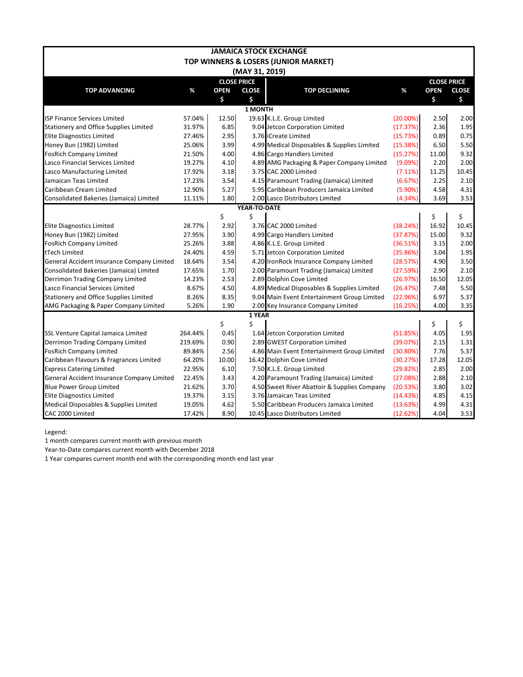|                                            |         |                    |                | <b>JAMAICA STOCK EXCHANGE</b>                |             |                    |              |  |  |  |  |
|--------------------------------------------|---------|--------------------|----------------|----------------------------------------------|-------------|--------------------|--------------|--|--|--|--|
|                                            |         |                    |                | TOP WINNERS & LOSERS (JUNIOR MARKET)         |             |                    |              |  |  |  |  |
|                                            |         |                    | (MAY 31, 2019) |                                              |             |                    |              |  |  |  |  |
|                                            |         | <b>CLOSE PRICE</b> |                |                                              |             | <b>CLOSE PRICE</b> |              |  |  |  |  |
| <b>TOP ADVANCING</b>                       | %       | <b>OPEN</b>        | <b>CLOSE</b>   | <b>TOP DECLINING</b>                         | %           | <b>OPEN</b>        | <b>CLOSE</b> |  |  |  |  |
|                                            |         | \$                 | \$             |                                              |             | \$                 | \$           |  |  |  |  |
|                                            |         |                    | 1 MONTH        |                                              |             |                    |              |  |  |  |  |
| <b>ISP Finance Services Limited</b>        | 57.04%  | 12.50              |                | 19.63 K.L.E. Group Limited                   | $(20.00\%)$ | 2.50               | 2.00         |  |  |  |  |
| Stationery and Office Supplies Limited     | 31.97%  | 6.85               |                | 9.04 Jetcon Corporation Limited              | (17.37%)    | 2.36               | 1.95         |  |  |  |  |
| <b>Elite Diagnostics Limited</b>           | 27.46%  | 2.95               |                | 3.76 ICreate Limited                         | (15.73%)    | 0.89               | 0.75         |  |  |  |  |
| Honey Bun (1982) Limited                   | 25.06%  | 3.99               |                | 4.99 Medical Disposables & Supplies Limited  | (15.38%)    | 6.50               | 5.50         |  |  |  |  |
| <b>FosRich Company Limited</b>             | 21.50%  | 4.00               |                | 4.86 Cargo Handlers Limited                  | (15.27%)    | 11.00              | 9.32         |  |  |  |  |
| Lasco Financial Services Limited           | 19.27%  | 4.10               |                | 4.89 AMG Packaging & Paper Company Limited   | (9.09%)     | 2.20               | 2.00         |  |  |  |  |
| Lasco Manufacturing Limited                | 17.92%  | 3.18               |                | 3.75 CAC 2000 Limited                        | (7.11%)     | 11.25              | 10.45        |  |  |  |  |
| Jamaican Teas Limited                      | 17.23%  | 3.54               |                | 4.15 Paramount Trading (Jamaica) Limited     | (6.67%)     | 2.25               | 2.10         |  |  |  |  |
| Caribbean Cream Limited                    | 12.90%  | 5.27               |                | 5.95 Caribbean Producers Jamaica Limited     | $(5.90\%)$  | 4.58               | 4.31         |  |  |  |  |
| Consolidated Bakeries (Jamaica) Limited    | 11.11%  | 1.80               |                | 2.00 Lasco Distributors Limited              | (4.34%)     | 3.69               | 3.53         |  |  |  |  |
| YEAR-TO-DATE                               |         |                    |                |                                              |             |                    |              |  |  |  |  |
|                                            |         | \$                 | \$             |                                              |             | \$                 | \$           |  |  |  |  |
| <b>Elite Diagnostics Limited</b>           | 28.77%  | 2.92               |                | 3.76 CAC 2000 Limited                        | (38.24%)    | 16.92              | 10.45        |  |  |  |  |
| Honey Bun (1982) Limited                   | 27.95%  | 3.90               |                | 4.99 Cargo Handlers Limited                  | (37.87%)    | 15.00              | 9.32         |  |  |  |  |
| <b>FosRich Company Limited</b>             | 25.26%  | 3.88               |                | 4.86 K.L.E. Group Limited                    | (36.51%)    | 3.15               | 2.00         |  |  |  |  |
| tTech Limited                              | 24.40%  | 4.59               |                | 5.71 Jetcon Corporation Limited              | (35.86%)    | 3.04               | 1.95         |  |  |  |  |
| General Accident Insurance Company Limited | 18.64%  | 3.54               |                | 4.20 IronRock Insurance Company Limited      | (28.57%)    | 4.90               | 3.50         |  |  |  |  |
| Consolidated Bakeries (Jamaica) Limited    | 17.65%  | 1.70               |                | 2.00 Paramount Trading (Jamaica) Limited     | (27.59%)    | 2.90               | 2.10         |  |  |  |  |
| Derrimon Trading Company Limited           | 14.23%  | 2.53               |                | 2.89 Dolphin Cove Limited                    | (26.97%)    | 16.50              | 12.05        |  |  |  |  |
| Lasco Financial Services Limited           | 8.67%   | 4.50               |                | 4.89 Medical Disposables & Supplies Limited  | (26.47%)    | 7.48               | 5.50         |  |  |  |  |
| Stationery and Office Supplies Limited     | 8.26%   | 8.35               |                | 9.04 Main Event Entertainment Group Limited  | (22.96%)    | 6.97               | 5.37         |  |  |  |  |
| AMG Packaging & Paper Company Limited      | 5.26%   | 1.90               |                | 2.00 Key Insurance Company Limited           | (16.25%)    | 4.00               | 3.35         |  |  |  |  |
|                                            |         |                    | 1 YEAR         |                                              |             |                    |              |  |  |  |  |
|                                            |         | \$                 | \$             |                                              |             | \$                 | \$           |  |  |  |  |
| SSL Venture Capital Jamaica Limited        | 264.44% | 0.45               |                | 1.64 Jetcon Corporation Limited              | (51.85%)    | 4.05               | 1.95         |  |  |  |  |
| Derrimon Trading Company Limited           | 219.69% | 0.90               |                | 2.89 GWEST Corporation Limited               | (39.07%)    | 2.15               | 1.31         |  |  |  |  |
| <b>FosRich Company Limited</b>             | 89.84%  | 2.56               |                | 4.86 Main Event Entertainment Group Limited  | (30.80%)    | 7.76               | 5.37         |  |  |  |  |
| Caribbean Flavours & Fragrances Limited    | 64.20%  | 10.00              |                | 16.42 Dolphin Cove Limited                   | (30.27%)    | 17.28              | 12.05        |  |  |  |  |
| <b>Express Catering Limited</b>            | 22.95%  | 6.10               |                | 7.50 K.L.E. Group Limited                    | (29.82%)    | 2.85               | 2.00         |  |  |  |  |
| General Accident Insurance Company Limited | 22.45%  | 3.43               |                | 4.20 Paramount Trading (Jamaica) Limited     | (27.08%)    | 2.88               | 2.10         |  |  |  |  |
| <b>Blue Power Group Limited</b>            | 21.62%  | 3.70               |                | 4.50 Sweet River Abattoir & Supplies Company | (20.53%)    | 3.80               | 3.02         |  |  |  |  |
| <b>Elite Diagnostics Limited</b>           | 19.37%  | 3.15               |                | 3.76 Jamaican Teas Limited                   | (14.43%)    | 4.85               | 4.15         |  |  |  |  |
| Medical Disposables & Supplies Limited     | 19.05%  | 4.62               |                | 5.50 Caribbean Producers Jamaica Limited     | (13.63%)    | 4.99               | 4.31         |  |  |  |  |
| CAC 2000 Limited                           | 17.42%  | 8.90               |                | 10.45 Lasco Distributors Limited             | (12.62%)    | 4.04               | 3.53         |  |  |  |  |

Legend:

1 month compares current month with previous month

Year-to-Date compares current month with December 2018

1 Year compares current month end with the corresponding month end last year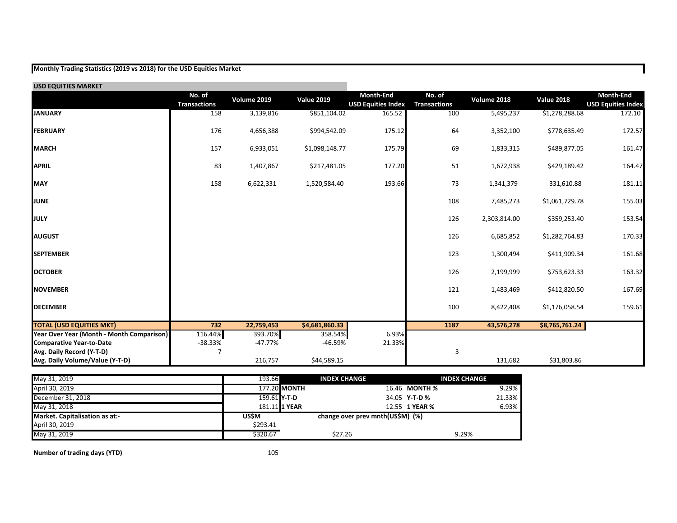## **Monthly Trading Statistics (2019 vs 2018) for the USD Equities Market**

| <b>USD EQUITIES MARKET</b>                |                               |             |                   |                                               |                               |              |                   |                                               |
|-------------------------------------------|-------------------------------|-------------|-------------------|-----------------------------------------------|-------------------------------|--------------|-------------------|-----------------------------------------------|
|                                           | No. of<br><b>Transactions</b> | Volume 2019 | <b>Value 2019</b> | <b>Month-End</b><br><b>USD Equities Index</b> | No. of<br><b>Transactions</b> | Volume 2018  | <b>Value 2018</b> | <b>Month-End</b><br><b>USD Equities Index</b> |
| <b>JANUARY</b>                            | 158                           | 3,139,816   | \$851,104.02      | 165.52                                        | 100                           | 5,495,237    | \$1,278,288.68    | 172.10                                        |
| <b>FEBRUARY</b>                           | 176                           | 4,656,388   | \$994,542.09      | 175.12                                        | 64                            | 3,352,100    | \$778,635.49      | 172.57                                        |
| <b>MARCH</b>                              | 157                           | 6,933,051   | \$1,098,148.77    | 175.79                                        | 69                            | 1,833,315    | \$489,877.05      | 161.47                                        |
| <b>APRIL</b>                              | 83                            | 1,407,867   | \$217,481.05      | 177.20                                        | 51                            | 1,672,938    | \$429,189.42      | 164.47                                        |
| <b>MAY</b>                                | 158                           | 6,622,331   | 1,520,584.40      | 193.66                                        | 73                            | 1,341,379    | 331,610.88        | 181.11                                        |
| <b>JUNE</b>                               |                               |             |                   |                                               | 108                           | 7,485,273    | \$1,061,729.78    | 155.03                                        |
| <b>JULY</b>                               |                               |             |                   |                                               | 126                           | 2,303,814.00 | \$359,253.40      | 153.54                                        |
| <b>AUGUST</b>                             |                               |             |                   |                                               | 126                           | 6,685,852    | \$1,282,764.83    | 170.33                                        |
| <b>SEPTEMBER</b>                          |                               |             |                   |                                               | 123                           | 1,300,494    | \$411,909.34      | 161.68                                        |
| <b>OCTOBER</b>                            |                               |             |                   |                                               | 126                           | 2,199,999    | \$753,623.33      | 163.32                                        |
| <b>NOVEMBER</b>                           |                               |             |                   |                                               | 121                           | 1,483,469    | \$412,820.50      | 167.69                                        |
| <b>DECEMBER</b>                           |                               |             |                   |                                               | 100                           | 8,422,408    | \$1,176,058.54    | 159.61                                        |
| <b>TOTAL (USD EQUITIES MKT)</b>           | 732                           | 22,759,453  | \$4,681,860.33    |                                               | 1187                          | 43,576,278   | \$8,765,761.24    |                                               |
| Year Over Year (Month - Month Comparison) | 116.44%                       | 393.70%     | 358.54%           | 6.93%                                         |                               |              |                   |                                               |
| <b>Comparative Year-to-Date</b>           | $-38.33%$                     | $-47.77%$   | $-46.59%$         | 21.33%                                        |                               |              |                   |                                               |
| Avg. Daily Record (Y-T-D)                 |                               |             |                   |                                               | 3                             |              |                   |                                               |
| Avg. Daily Volume/Value (Y-T-D)           |                               | 216,757     | \$44,589.15       |                                               |                               | 131,682      | \$31,803.86       |                                               |

| May 31, 2019                   | 193.66              |               | <b>INDEX CHANGE</b>              | <b>INDEX CHANGE</b> |        |
|--------------------------------|---------------------|---------------|----------------------------------|---------------------|--------|
| April 30, 2019                 |                     | 177.20 MONTH  |                                  | 16.46 MONTH %       | 9.29%  |
| December 31, 2018              | 159.61 <b>Y-T-D</b> |               |                                  | 34.05 Y-T-D %       | 21.33% |
| May 31, 2018                   |                     | 181.11 1 YEAR |                                  | 12.55 1 YEAR %      | 6.93%  |
| Market. Capitalisation as at:- | <b>US\$M</b>        |               | change over prev mnth(US\$M) (%) |                     |        |
| April 30, 2019                 | \$293.41            |               |                                  |                     |        |
| May 31, 2019                   | \$320.67            |               | \$27.26                          | 9.29%               |        |

**Number of trading days (YTD)** 105